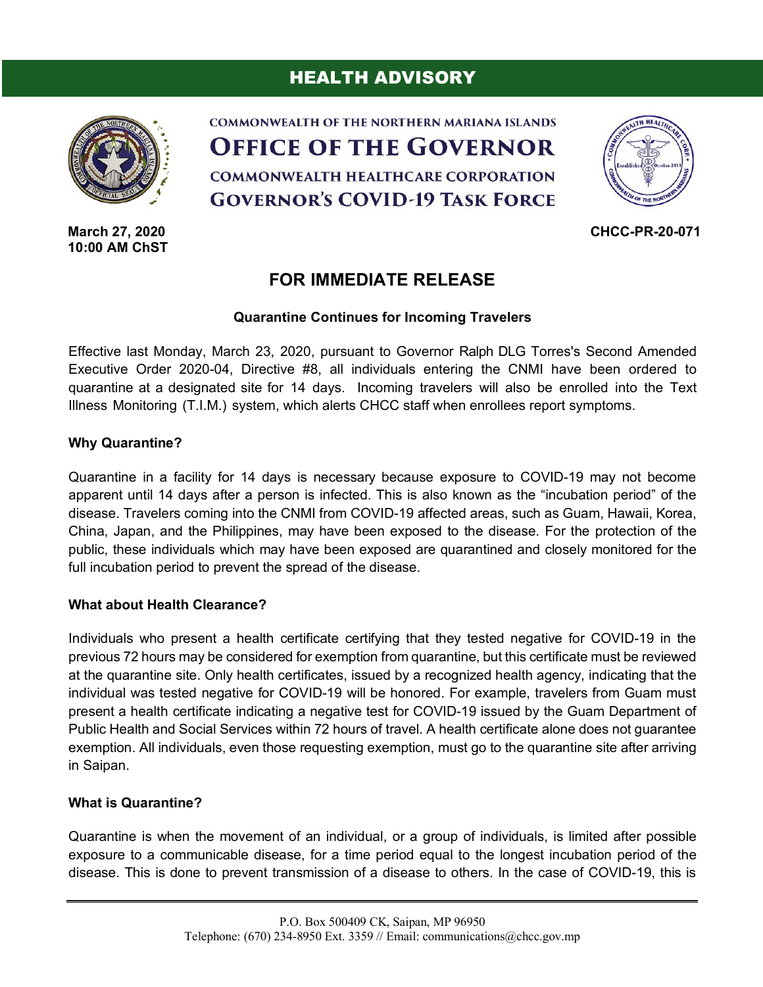# HEALTH ADVISORY



**March 27, 2020 10:00 AM ChST**





**CHCC-PR-20-071**

# **FOR IMMEDIATE RELEASE**

## **Quarantine Continues for Incoming Travelers**

Effective last Monday, March 23, 2020, pursuant to Governor Ralph DLG Torres's Second Amended Executive Order 2020-04, Directive #8, all individuals entering the CNMI have been ordered to quarantine at a designated site for 14 days. Incoming travelers will also be enrolled into the Text Illness Monitoring (T.I.M.) system, which alerts CHCC staff when enrollees report symptoms.

#### **Why Quarantine?**

Quarantine in a facility for 14 days is necessary because exposure to COVID-19 may not become apparent until 14 days after a person is infected. This is also known as the "incubation period" of the disease. Travelers coming into the CNMI from COVID-19 affected areas, such as Guam, Hawaii, Korea, China, Japan, and the Philippines, may have been exposed to the disease. For the protection of the public, these individuals which may have been exposed are quarantined and closely monitored for the full incubation period to prevent the spread of the disease.

#### **What about Health Clearance?**

Individuals who present a health certificate certifying that they tested negative for COVID-19 in the previous 72 hours may be considered for exemption from quarantine, but this certificate must be reviewed at the quarantine site. Only health certificates, issued by a recognized health agency, indicating that the individual was tested negative for COVID-19 will be honored. For example, travelers from Guam must present a health certificate indicating a negative test for COVID-19 issued by the Guam Department of Public Health and Social Services within 72 hours of travel. A health certificate alone does not guarantee exemption. All individuals, even those requesting exemption, must go to the quarantine site after arriving in Saipan.

## **What is Quarantine?**

Quarantine is when the movement of an individual, or a group of individuals, is limited after possible exposure to a communicable disease, for a time period equal to the longest incubation period of the disease. This is done to prevent transmission of a disease to others. In the case of COVID-19, this is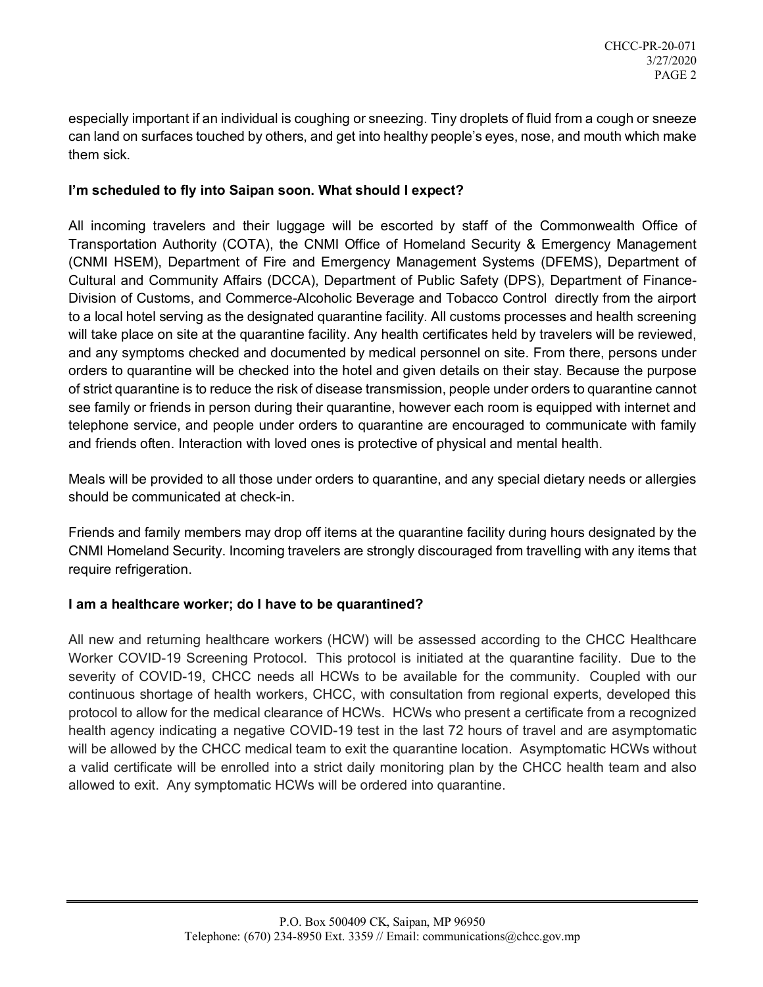especially important if an individual is coughing or sneezing. Tiny droplets of fluid from a cough or sneeze can land on surfaces touched by others, and get into healthy people's eyes, nose, and mouth which make them sick.

## **I'm scheduled to fly into Saipan soon. What should I expect?**

All incoming travelers and their luggage will be escorted by staff of the Commonwealth Office of Transportation Authority (COTA), the CNMI Office of Homeland Security & Emergency Management (CNMI HSEM), Department of Fire and Emergency Management Systems (DFEMS), Department of Cultural and Community Affairs (DCCA), Department of Public Safety (DPS), Department of Finance-Division of Customs, and Commerce-Alcoholic Beverage and Tobacco Control directly from the airport to a local hotel serving as the designated quarantine facility. All customs processes and health screening will take place on site at the quarantine facility. Any health certificates held by travelers will be reviewed, and any symptoms checked and documented by medical personnel on site. From there, persons under orders to quarantine will be checked into the hotel and given details on their stay. Because the purpose of strict quarantine is to reduce the risk of disease transmission, people under orders to quarantine cannot see family or friends in person during their quarantine, however each room is equipped with internet and telephone service, and people under orders to quarantine are encouraged to communicate with family and friends often. Interaction with loved ones is protective of physical and mental health.

Meals will be provided to all those under orders to quarantine, and any special dietary needs or allergies should be communicated at check-in.

Friends and family members may drop off items at the quarantine facility during hours designated by the CNMI Homeland Security. Incoming travelers are strongly discouraged from travelling with any items that require refrigeration.

## **I am a healthcare worker; do I have to be quarantined?**

All new and returning healthcare workers (HCW) will be assessed according to the CHCC Healthcare Worker COVID-19 Screening Protocol. This protocol is initiated at the quarantine facility. Due to the severity of COVID-19, CHCC needs all HCWs to be available for the community. Coupled with our continuous shortage of health workers, CHCC, with consultation from regional experts, developed this protocol to allow for the medical clearance of HCWs. HCWs who present a certificate from a recognized health agency indicating a negative COVID-19 test in the last 72 hours of travel and are asymptomatic will be allowed by the CHCC medical team to exit the quarantine location. Asymptomatic HCWs without a valid certificate will be enrolled into a strict daily monitoring plan by the CHCC health team and also allowed to exit. Any symptomatic HCWs will be ordered into quarantine.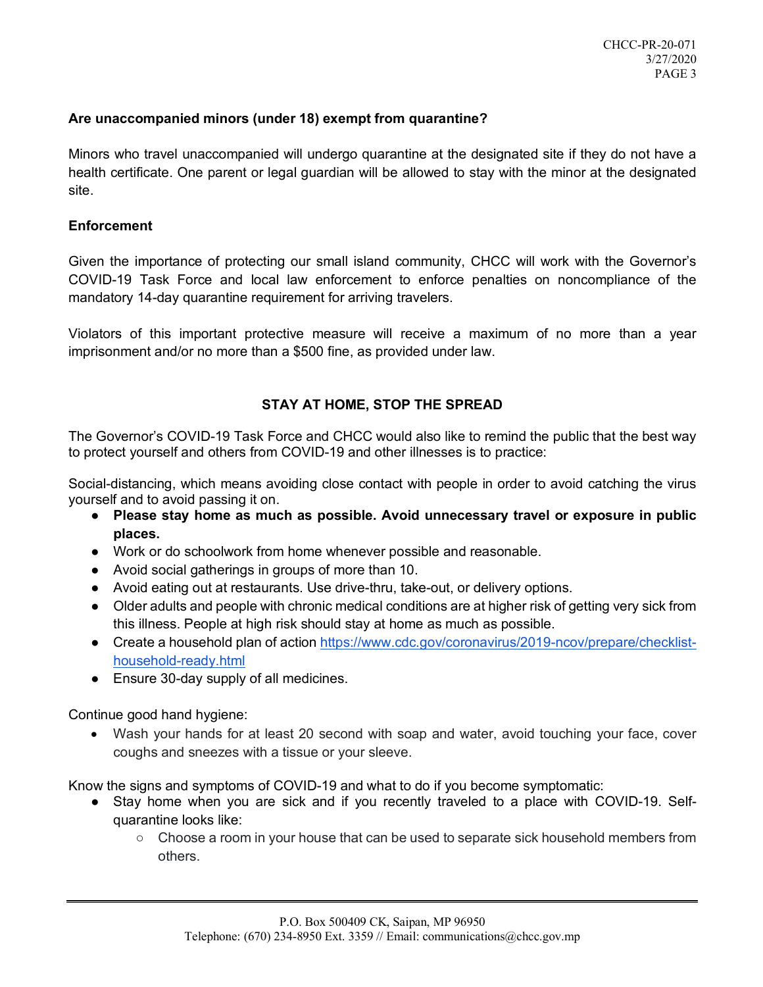## **Are unaccompanied minors (under 18) exempt from quarantine?**

Minors who travel unaccompanied will undergo quarantine at the designated site if they do not have a health certificate. One parent or legal guardian will be allowed to stay with the minor at the designated site.

### **Enforcement**

Given the importance of protecting our small island community, CHCC will work with the Governor's COVID-19 Task Force and local law enforcement to enforce penalties on noncompliance of the mandatory 14-day quarantine requirement for arriving travelers.

Violators of this important protective measure will receive a maximum of no more than a year imprisonment and/or no more than a \$500 fine, as provided under law.

## **STAY AT HOME, STOP THE SPREAD**

The Governor's COVID-19 Task Force and CHCC would also like to remind the public that the best way to protect yourself and others from COVID-19 and other illnesses is to practice:

Social-distancing, which means avoiding close contact with people in order to avoid catching the virus yourself and to avoid passing it on.

- **Please stay home as much as possible. Avoid unnecessary travel or exposure in public places.**
- Work or do schoolwork from home whenever possible and reasonable.
- Avoid social gatherings in groups of more than 10.
- Avoid eating out at restaurants. Use drive-thru, take-out, or delivery options.
- Older adults and people with chronic medical conditions are at higher risk of getting very sick from this illness. People at high risk should stay at home as much as possible.
- Create a household plan of action https://www.cdc.gov/coronavirus/2019-ncov/prepare/checklisthousehold-ready.html
- Ensure 30-day supply of all medicines.

Continue good hand hygiene:

• Wash your hands for at least 20 second with soap and water, avoid touching your face, cover coughs and sneezes with a tissue or your sleeve.

Know the signs and symptoms of COVID-19 and what to do if you become symptomatic:

- Stay home when you are sick and if you recently traveled to a place with COVID-19. Selfquarantine looks like:
	- Choose a room in your house that can be used to separate sick household members from others.